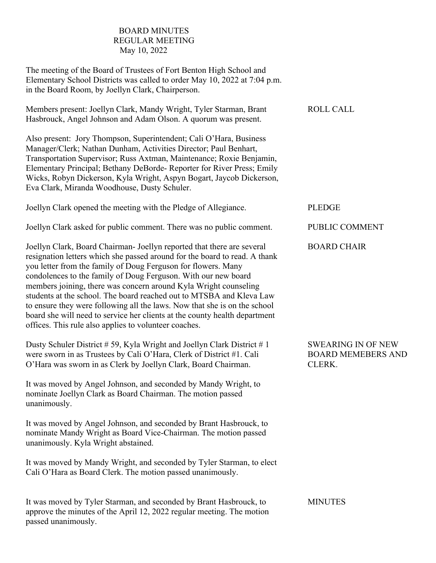## BOARD MINUTES REGULAR MEETING May 10, 2022

The meeting of the Board of Trustees of Fort Benton High School and Elementary School Districts was called to order May 10, 2022 at 7:04 p.m. in the Board Room, by Joellyn Clark, Chairperson.

| Members present: Joellyn Clark, Mandy Wright, Tyler Starman, Brant | <b>ROLL CALL</b> |
|--------------------------------------------------------------------|------------------|
| Hasbrouck, Angel Johnson and Adam Olson. A quorum was present.     |                  |

Also present: Jory Thompson, Superintendent; Cali O'Hara, Business Manager/Clerk; Nathan Dunham, Activities Director; Paul Benhart, Transportation Supervisor; Russ Axtman, Maintenance; Roxie Benjamin, Elementary Principal; Bethany DeBorde- Reporter for River Press; Emily Wicks, Robyn Dickerson, Kyla Wright, Aspyn Bogart, Jaycob Dickerson, Eva Clark, Miranda Woodhouse, Dusty Schuler.

Joellyn Clark opened the meeting with the Pledge of Allegiance.

Joellyn Clark asked for public comment. There was no public comment.

Joellyn Clark, Board Chairman- Joellyn reported that there are several resignation letters which she passed around for the board to read. A thank you letter from the family of Doug Ferguson for flowers. Many condolences to the family of Doug Ferguson. With our new board members joining, there was concern around Kyla Wright counseling students at the school. The board reached out to MTSBA and Kleva Law to ensure they were following all the laws. Now that she is on the school board she will need to service her clients at the county health department offices. This rule also applies to volunteer coaches.

Dusty Schuler District # 59, Kyla Wright and Joellyn Clark District # 1 were sworn in as Trustees by Cali O'Hara, Clerk of District #1. Cali O'Hara was sworn in as Clerk by Joellyn Clark, Board Chairman.

It was moved by Angel Johnson, and seconded by Mandy Wright, to nominate Joellyn Clark as Board Chairman. The motion passed unanimously.

It was moved by Angel Johnson, and seconded by Brant Hasbrouck, to nominate Mandy Wright as Board Vice-Chairman. The motion passed unanimously. Kyla Wright abstained.

It was moved by Mandy Wright, and seconded by Tyler Starman, to elect Cali O'Hara as Board Clerk. The motion passed unanimously.

It was moved by Tyler Starman, and seconded by Brant Hasbrouck, to approve the minutes of the April 12, 2022 regular meeting. The motion passed unanimously.

PLEDGE

PUBLIC COMMENT

BOARD CHAIR

SWEARING IN OF NEW BOARD MEMEBERS AND CLERK.

**MINUTES**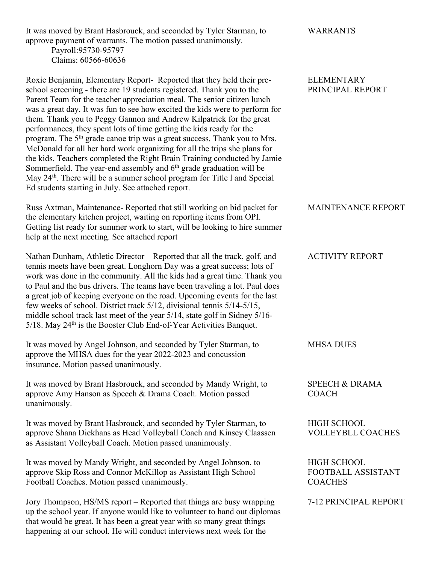It was moved by Brant Hasbrouck, and seconded by Tyler Starman, to approve payment of warrants. The motion passed unanimously.

> Payroll:95730-95797 Claims: 60566-60636

Roxie Benjamin, Elementary Report- Reported that they held their preschool screening - there are 19 students registered. Thank you to the Parent Team for the teacher appreciation meal. The senior citizen lunch was a great day. It was fun to see how excited the kids were to perform for them. Thank you to Peggy Gannon and Andrew Kilpatrick for the great performances, they spent lots of time getting the kids ready for the program. The 5<sup>th</sup> grade canoe trip was a great success. Thank you to Mrs. McDonald for all her hard work organizing for all the trips she plans for the kids. Teachers completed the Right Brain Training conducted by Jamie Sommerfield. The year-end assembly and  $6<sup>th</sup>$  grade graduation will be May 24<sup>th</sup>. There will be a summer school program for Title 1 and Special Ed students starting in July. See attached report.

Russ Axtman, Maintenance- Reported that still working on bid packet for the elementary kitchen project, waiting on reporting items from OPI. Getting list ready for summer work to start, will be looking to hire summer help at the next meeting. See attached report

Nathan Dunham, Athletic Director– Reported that all the track, golf, and tennis meets have been great. Longhorn Day was a great success; lots of work was done in the community. All the kids had a great time. Thank you to Paul and the bus drivers. The teams have been traveling a lot. Paul does a great job of keeping everyone on the road. Upcoming events for the last few weeks of school. District track 5/12, divisional tennis 5/14-5/15, middle school track last meet of the year 5/14, state golf in Sidney 5/16- 5/18. May 24<sup>th</sup> is the Booster Club End-of-Year Activities Banquet.

It was moved by Angel Johnson, and seconded by Tyler Starman, to approve the MHSA dues for the year 2022-2023 and concussion insurance. Motion passed unanimously.

It was moved by Brant Hasbrouck, and seconded by Mandy Wright, to approve Amy Hanson as Speech & Drama Coach. Motion passed unanimously.

It was moved by Brant Hasbrouck, and seconded by Tyler Starman, to approve Shana Diekhans as Head Volleyball Coach and Kinsey Claassen as Assistant Volleyball Coach. Motion passed unanimously.

It was moved by Mandy Wright, and seconded by Angel Johnson, to approve Skip Ross and Connor McKillop as Assistant High School Football Coaches. Motion passed unanimously.

Jory Thompson, HS/MS report – Reported that things are busy wrapping up the school year. If anyone would like to volunteer to hand out diplomas that would be great. It has been a great year with so many great things happening at our school. He will conduct interviews next week for the

WARRANTS

#### ELEMENTARY PRINCIPAL REPORT

#### MAINTENANCE REPORT

#### ACTIVITY REPORT

# MHSA DUES

SPEECH & DRAMA COACH

HIGH SCHOOL VOLLEYBLL COACHES

HIGH SCHOOL FOOTBALL ASSISTANT **COACHES** 

7-12 PRINCIPAL REPORT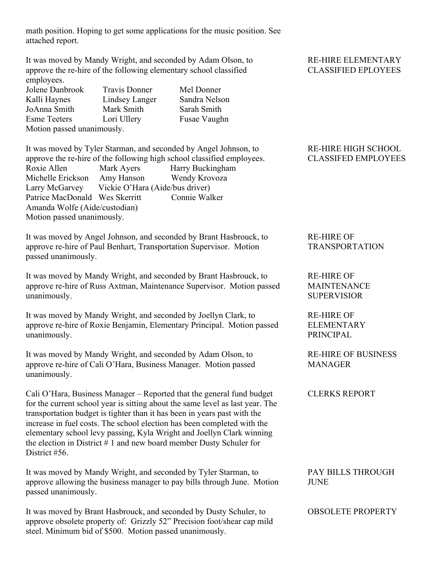math position. Hoping to get some applications for the music position. See attached report.

It was moved by Mandy Wright, and seconded by Adam Olson, to approve the re-hire of the following elementary school classified employees.

| Jolene Danbrook            | <b>Travis Donner</b> |  |
|----------------------------|----------------------|--|
| Kalli Haynes               | Lindsey Langer       |  |
| JoAnna Smith               | Mark Smith           |  |
| <b>Esme Teeters</b>        | Lori Ullery          |  |
| Motion passed unanimously. |                      |  |

Mel Donner Sandra Nelson Sarah Smith Fusae Vaughn

It was moved by Tyler Starman, and seconded by Angel Johnson, to approve the re-hire of the following high school classified employees. Roxie Allen Mark Ayers Harry Buckingham Michelle Erickson Amy Hanson Wendy Krovoza Larry McGarvey Vickie O'Hara (Aide/bus driver) Patrice MacDonald Wes Skerritt Connie Walker Amanda Wolfe (Aide/custodian) Motion passed unanimously.

It was moved by Angel Johnson, and seconded by Brant Hasbrouck, to approve re-hire of Paul Benhart, Transportation Supervisor. Motion passed unanimously.

It was moved by Mandy Wright, and seconded by Brant Hasbrouck, to approve re-hire of Russ Axtman, Maintenance Supervisor. Motion passed unanimously.

It was moved by Mandy Wright, and seconded by Joellyn Clark, to approve re-hire of Roxie Benjamin, Elementary Principal. Motion passed unanimously.

It was moved by Mandy Wright, and seconded by Adam Olson, to approve re-hire of Cali O'Hara, Business Manager. Motion passed unanimously.

Cali O'Hara, Business Manager – Reported that the general fund budget for the current school year is sitting about the same level as last year. The transportation budget is tighter than it has been in years past with the increase in fuel costs. The school election has been completed with the elementary school levy passing, Kyla Wright and Joellyn Clark winning the election in District # 1 and new board member Dusty Schuler for District #56.

It was moved by Mandy Wright, and seconded by Tyler Starman, to approve allowing the business manager to pay bills through June. Motion passed unanimously.

It was moved by Brant Hasbrouck, and seconded by Dusty Schuler, to approve obsolete property of: Grizzly 52" Precision foot/shear cap mild steel. Minimum bid of \$500. Motion passed unanimously.

## RE-HIRE ELEMENTARY CLASSIFIED EPLOYEES

### RE-HIRE HIGH SCHOOL CLASSIFED EMPLOYEES

# RE-HIRE OF TRANSPORTATION

RE-HIRE OF MAINTENANCE SUPERVISIOR

RE-HIRE OF ELEMENTARY PRINCIPAL

RE-HIRE OF BUSINESS MANAGER

CLERKS REPORT

PAY BILLS THROUGH JUNE

OBSOLETE PROPERTY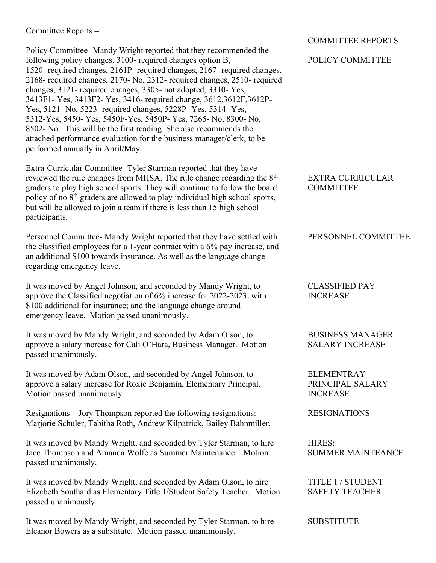### Committee Reports –

Policy Committee- Mandy Wright reported that they recommended the following policy changes. 3100- required changes option B, 1520- required changes, 2161P- required changes, 2167- required changes, 2168- required changes, 2170- No, 2312- required changes, 2510- required changes, 3121- required changes, 3305- not adopted, 3310- Yes, 3413F1- Yes, 3413F2- Yes, 3416- required change, 3612,3612F,3612P-Yes, 5121- No, 5223- required changes, 5228P- Yes, 5314- Yes, 5312-Yes, 5450- Yes, 5450F-Yes, 5450P- Yes, 7265- No, 8300- No, 8502- No. This will be the first reading. She also recommends the attached performance evaluation for the business manager/clerk, to be performed annually in April/May.

Extra-Curricular Committee- Tyler Starman reported that they have reviewed the rule changes from MHSA. The rule change regarding the 8<sup>th</sup> graders to play high school sports. They will continue to follow the board policy of no  $8<sup>th</sup>$  graders are allowed to play individual high school sports, but will be allowed to join a team if there is less than 15 high school participants.

Personnel Committee- Mandy Wright reported that they have settled with the classified employees for a 1-year contract with a 6% pay increase, and an additional \$100 towards insurance. As well as the language change regarding emergency leave.

It was moved by Angel Johnson, and seconded by Mandy Wright, to approve the Classified negotiation of 6% increase for 2022-2023, with \$100 additional for insurance; and the language change around emergency leave. Motion passed unanimously.

It was moved by Mandy Wright, and seconded by Adam Olson, to approve a salary increase for Cali O'Hara, Business Manager. Motion passed unanimously.

It was moved by Adam Olson, and seconded by Angel Johnson, to approve a salary increase for Roxie Benjamin, Elementary Principal. Motion passed unanimously.

Resignations – Jory Thompson reported the following resignations: Marjorie Schuler, Tabitha Roth, Andrew Kilpatrick, Bailey Bahnmiller.

It was moved by Mandy Wright, and seconded by Tyler Starman, to hire Jace Thompson and Amanda Wolfe as Summer Maintenance. Motion passed unanimously.

It was moved by Mandy Wright, and seconded by Adam Olson, to hire Elizabeth Southard as Elementary Title 1/Student Safety Teacher. Motion passed unanimously

It was moved by Mandy Wright, and seconded by Tyler Starman, to hire Eleanor Bowers as a substitute. Motion passed unanimously.

## COMMITTEE REPORTS

## POLICY COMMITTEE

EXTRA CURRICULAR **COMMITTEE** 

#### PERSONNEL COMMITTEE

CLASSIFIED PAY INCREASE

BUSINESS MANAGER SALARY INCREASE

ELEMENTRAY PRINCIPAL SALARY INCREASE

RESIGNATIONS

HIRES: SUMMER MAINTEANCE

TITLE 1 / STUDENT SAFETY TEACHER

**SUBSTITUTE**